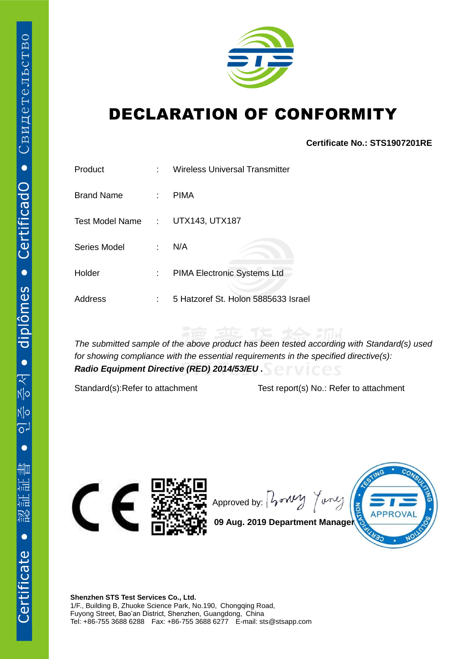

## DECLARATION OF CONFORMITY

## **Certificate No.: STS1907201RE**

| Product           | ۰  | Wireless Universal Transmitter      |
|-------------------|----|-------------------------------------|
| <b>Brand Name</b> | t. | <b>PIMA</b>                         |
| Test Model Name:  |    | UTX143, UTX187                      |
| Series Model      | t. | N/A                                 |
| Holder            | t. | PIMA Electronic Systems Ltd         |
| Address           | ٢  | 5 Hatzoref St. Holon 5885633 Israel |

*The submitted sample of the above product has been tested according with Standard(s) used for showing compliance with the essential requirements in the specified directive(s): Radio Equipment Directive (RED) 2014/53/EU .*

Standard(s):Refer to attachment Test report(s) No.: Refer to attachment



Approved by:  $\int \sqrt{v^2 + v^2}$ Tonle



**09 Aug. 2019 Department Manager**

**Shenzhen STS Test Services Co., Ltd.** 1/F., Building B, Zhuoke Science Park, No.190, Chongqing Road, Fuyong Street, Bao'an District, Shenzhen, Guangdong, China Tel: +86-755 3688 6288 Fax: +86-755 3688 6277 E-mail: sts@stsapp.com